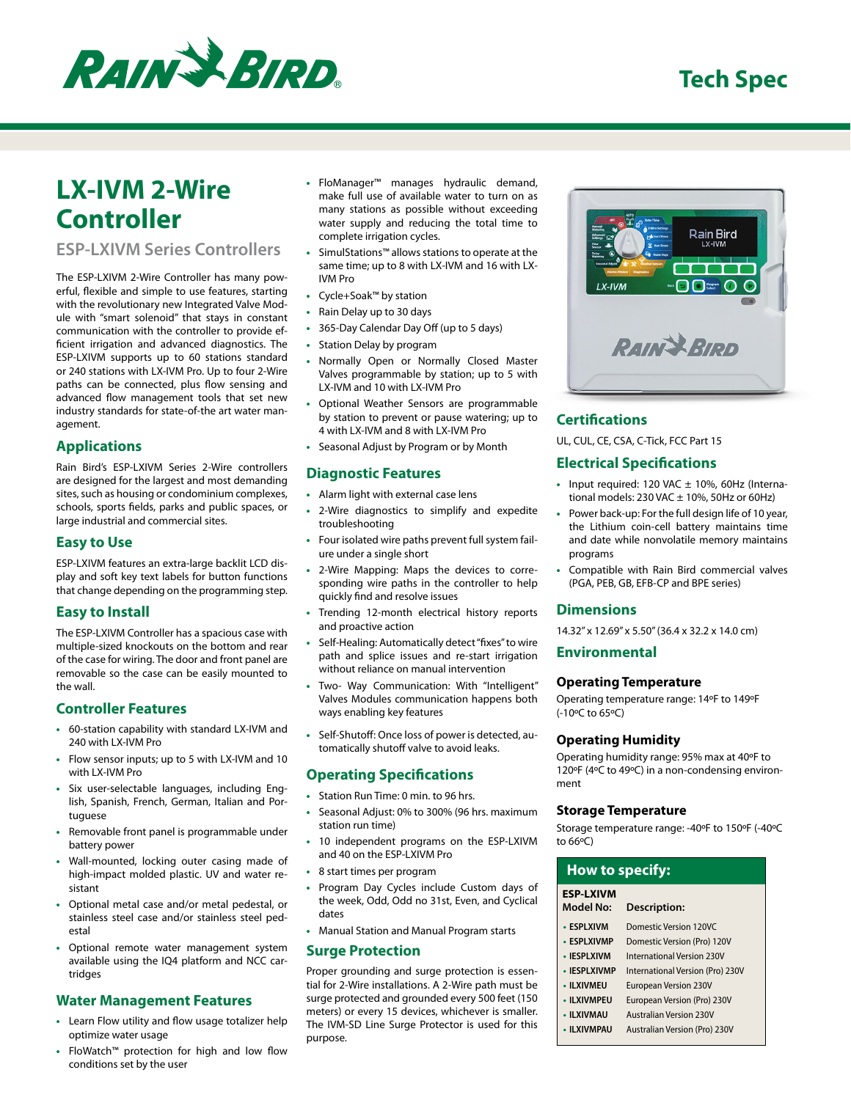

# **LX-IVM 2-Wire Controller**

# **ESP-LXIVM Series Controllers**

The ESP-LXIVM 2-Wire Controller has many powerful, flexible and simple to use features, starting with the revolutionary new Integrated Valve Module with "smart solenoid" that stays in constant communication with the controller to provide efficient irrigation and advanced diagnostics. The ESP-LXIVM supports up to 60 stations standard or 240 stations with LX-IVM Pro. Up to four 2-Wire paths can be connected, plus flow sensing and advanced flow management tools that set new industry standards for state-of-the art water management.

# **Applications**

Rain Bird's ESP-LXIVM Series 2-Wire controllers are designed for the largest and most demanding sites, such as housing or condominium complexes, schools, sports fields, parks and public spaces, or large industrial and commercial sites.

## **Easy to Use**

ESP-LXIVM features an extra-large backlit LCD display and soft key text labels for button functions that change depending on the programming step.

## **Easy to Install**

The ESP-LXIVM Controller has a spacious case with multiple-sized knockouts on the bottom and rear of the case for wiring. The door and front panel are removable so the case can be easily mounted to the wall.

#### **Controller Features**

- 60-station capability with standard LX-IVM and 240 with LX-IVM Pro
- Flow sensor inputs; up to 5 with LX-IVM and 10 with LX-IVM Pro
- Six user-selectable languages, including English, Spanish, French, German, Italian and Portuguese
- Removable front panel is programmable under battery power
- Wall-mounted, locking outer casing made of high-impact molded plastic. UV and water resistant
- Optional metal case and/or metal pedestal, or stainless steel case and/or stainless steel pedestal
- Optional remote water management system available using the IQ4 platform and NCC cartridges

## **Water Management Features**

- Learn Flow utility and flow usage totalizer help optimize water usage
- FloWatch™ protection for high and low flow conditions set by the user
- FloManager™ manages hydraulic demand, make full use of available water to turn on as many stations as possible without exceeding water supply and reducing the total time to complete irrigation cycles.
- SimulStations™ allows stations to operate at the same time; up to 8 with LX-IVM and 16 with LX-IVM Pro
- Cycle+Soak™ by station
- Rain Delay up to 30 days
- 365-Day Calendar Day Off (up to 5 days)
- Station Delay by program
- Normally Open or Normally Closed Master Valves programmable by station; up to 5 with LX-IVM and 10 with LX-IVM Pro
- Optional Weather Sensors are programmable by station to prevent or pause watering; up to 4 with LX-IVM and 8 with LX-IVM Pro
- Seasonal Adjust by Program or by Month

# **Diagnostic Features**

- Alarm light with external case lens
- 2-Wire diagnostics to simplify and expedite troubleshooting
- Four isolated wire paths prevent full system failure under a single short
- 2-Wire Mapping: Maps the devices to corresponding wire paths in the controller to help quickly find and resolve issues
- Trending 12-month electrical history reports and proactive action
- Self-Healing: Automatically detect "fixes" to wire path and splice issues and re-start irrigation without reliance on manual intervention
- Two- Way Communication: With "Intelligent" Valves Modules communication happens both ways enabling key features
- Self-Shutoff : Once loss of power is detected, automatically shutoff valve to avoid leaks.

## **Operating Specifications**

- Station Run Time: 0 min. to 96 hrs.
- Seasonal Adjust: 0% to 300% (96 hrs. maximum station run time)
- 10 independent programs on the ESP-LXIVM and 40 on the ESP-LXIVM Pro
- 8 start times per program
- Program Day Cycles include Custom days of the week, Odd, Odd no 31st, Even, and Cyclical dates
- Manual Station and Manual Program starts

## **Surge Protection**

Proper grounding and surge protection is essential for 2-Wire installations. A 2-Wire path must be surge protected and grounded every 500 feet (150 meters) or every 15 devices, whichever is smaller. The IVM-SD Line Surge Protector is used for this purpose.



# **Certifi cations**

UL, CUL, CE, CSA, C-Tick, FCC Part 15

# **Electrical Specifications**

- Input required: 120 VAC ± 10%, 60Hz (International models: 230 VAC  $\pm$  10%, 50Hz or 60Hz)
- Power back-up: For the full design life of 10 year, the Lithium coin-cell battery maintains time and date while nonvolatile memory maintains programs
- Compatible with Rain Bird commercial valves (PGA, PEB, GB, EFB-CP and BPE series)

## **Dimensions**

14.32" x 12.69" x 5.50" (36.4 x 32.2 x 14.0 cm)

# **Environmental**

#### **Operating Temperature**

Operating temperature range: 14ºF to 149ºF (-10ºC to 65ºC)

#### **Operating Humidity**

Operating humidity range: 95% max at 40ºF to 120ºF (4ºC to 49ºC) in a non-condensing environment

#### **Storage Temperature**

Storage temperature range: -40ºF to 150ºF (-40ºC to 66ºC)

| <b>How to specify:</b>               |                                  |  |
|--------------------------------------|----------------------------------|--|
| <b>ESP-LXIVM</b><br><b>Model No:</b> | <b>Description:</b>              |  |
| • ESPLXIVM                           | Domestic Version 120VC           |  |
| • ESPI XIVMP                         | Domestic Version (Pro) 120V      |  |
| • IFSPI XIVM                         | International Version 230V       |  |
| • IFSPI XIVMP                        | International Version (Pro) 230V |  |
| • ILXIVMEU                           | <b>European Version 230V</b>     |  |
| • II XIVMPFU                         | European Version (Pro) 230V      |  |

- **ILXIVMAU** Australian Version 230V
- **ILXIVMPAU** Australian Version (Pro) 230V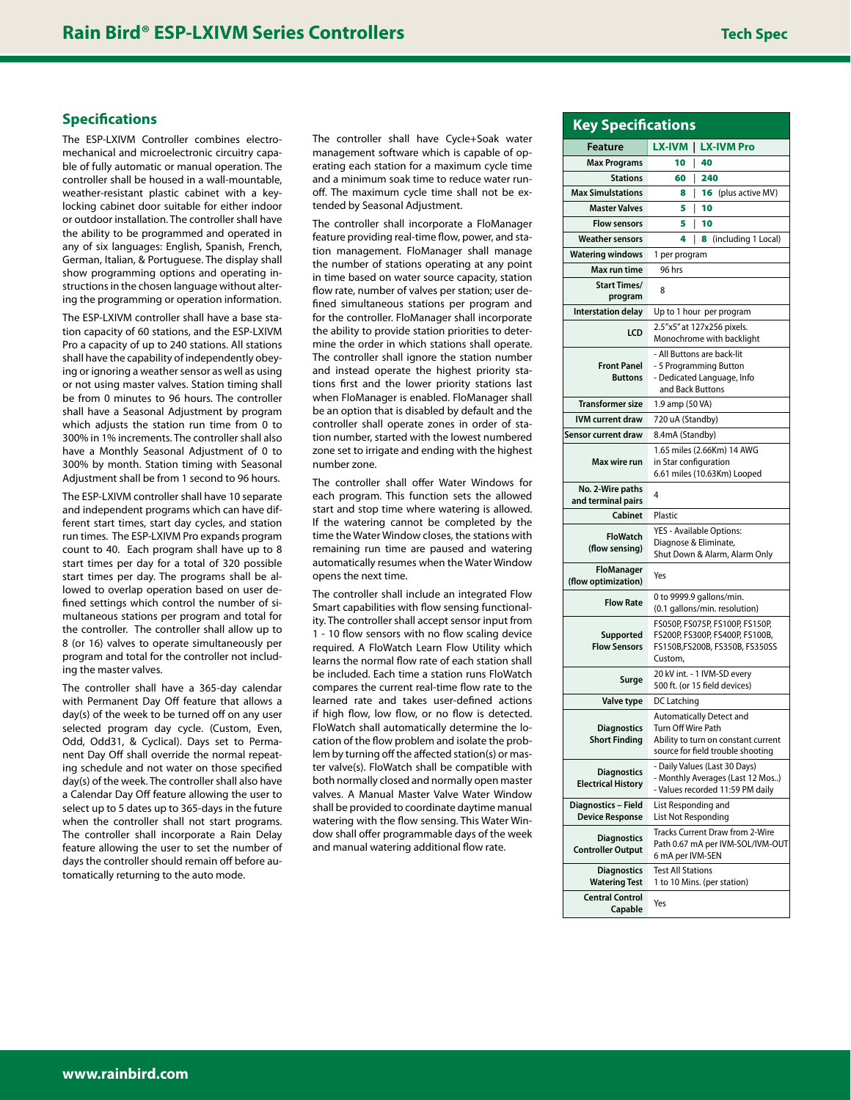## **Specifications**

The ESP-LXIVM Controller combines electromechanical and microelectronic circuitry capable of fully automatic or manual operation. The controller shall be housed in a wall-mountable, weather-resistant plastic cabinet with a keylocking cabinet door suitable for either indoor or outdoor installation. The controller shall have the ability to be programmed and operated in any of six languages: English, Spanish, French, German, Italian, & Portuguese. The display shall show programming options and operating instructions in the chosen language without altering the programming or operation information.

The ESP-LXIVM controller shall have a base station capacity of 60 stations, and the ESP-LXIVM Pro a capacity of up to 240 stations. All stations shall have the capability of independently obeying or ignoring a weather sensor as well as using or not using master valves. Station timing shall be from 0 minutes to 96 hours. The controller shall have a Seasonal Adjustment by program which adjusts the station run time from 0 to 300% in 1% increments. The controller shall also have a Monthly Seasonal Adjustment of 0 to 300% by month. Station timing with Seasonal Adjustment shall be from 1 second to 96 hours.

The ESP-LXIVM controller shall have 10 separate and independent programs which can have different start times, start day cycles, and station run times. The ESP-LXIVM Pro expands program count to 40. Each program shall have up to 8 start times per day for a total of 320 possible start times per day. The programs shall be allowed to overlap operation based on user defined settings which control the number of simultaneous stations per program and total for the controller. The controller shall allow up to 8 (or 16) valves to operate simultaneously per program and total for the controller not including the master valves.

The controller shall have a 365-day calendar with Permanent Day Off feature that allows a day(s) of the week to be turned off on any user selected program day cycle. (Custom, Even, Odd, Odd31, & Cyclical). Days set to Permanent Day Off shall override the normal repeating schedule and not water on those specified day(s) of the week. The controller shall also have a Calendar Day Off feature allowing the user to select up to 5 dates up to 365-days in the future when the controller shall not start programs. The controller shall incorporate a Rain Delay feature allowing the user to set the number of days the controller should remain off before automatically returning to the auto mode.

The controller shall have Cycle+Soak water management software which is capable of operating each station for a maximum cycle time and a minimum soak time to reduce water runoff. The maximum cycle time shall not be extended by Seasonal Adjustment.

The controller shall incorporate a FloManager feature providing real-time flow, power, and station management. FloManager shall manage the number of stations operating at any point in time based on water source capacity, station flow rate, number of valves per station; user defined simultaneous stations per program and for the controller. FloManager shall incorporate the ability to provide station priorities to determine the order in which stations shall operate. The controller shall ignore the station number and instead operate the highest priority stations first and the lower priority stations last when FloManager is enabled. FloManager shall be an option that is disabled by default and the controller shall operate zones in order of station number, started with the lowest numbered zone set to irrigate and ending with the highest number zone.

The controller shall offer Water Windows for each program. This function sets the allowed start and stop time where watering is allowed. If the watering cannot be completed by the time the Water Window closes, the stations with remaining run time are paused and watering automatically resumes when the Water Window opens the next time.

The controller shall include an integrated Flow Smart capabilities with flow sensing functionality. The controller shall accept sensor input from 1 - 10 flow sensors with no flow scaling device required. A FloWatch Learn Flow Utility which learns the normal flow rate of each station shall be included. Each time a station runs FloWatch compares the current real-time flow rate to the learned rate and takes user-defined actions if high flow, low flow, or no flow is detected. FloWatch shall automatically determine the location of the flow problem and isolate the problem by turning off the affected station(s) or master valve(s). FloWatch shall be compatible with both normally closed and normally open master valves. A Manual Master Valve Water Window shall be provided to coordinate daytime manual watering with the flow sensing. This Water Window shall offer programmable days of the week and manual watering additional flow rate.

| <b>Key Specifications</b>                       |                                                                                                                                          |                          |  |
|-------------------------------------------------|------------------------------------------------------------------------------------------------------------------------------------------|--------------------------|--|
| Feature                                         |                                                                                                                                          | LX-IVM   LX-IVM Pro      |  |
| <b>Max Programs</b>                             | 10                                                                                                                                       | 40                       |  |
| <b>Stations</b>                                 | 60                                                                                                                                       | 240                      |  |
| <b>Max Simulstations</b>                        | 8                                                                                                                                        | (plus active MV)<br>16   |  |
| <b>Master Valves</b>                            | 5                                                                                                                                        | 10                       |  |
| <b>Flow sensors</b>                             | 5                                                                                                                                        | 10                       |  |
| <b>Weather sensors</b>                          | 4                                                                                                                                        | (including 1 Local)<br>8 |  |
| <b>Watering windows</b>                         | 1 per program                                                                                                                            |                          |  |
| Max run time                                    | 96 hrs                                                                                                                                   |                          |  |
| <b>Start Times/</b><br>program                  | 8                                                                                                                                        |                          |  |
| <b>Interstation delay</b>                       | Up to 1 hour per program                                                                                                                 |                          |  |
| LCD                                             | 2.5"x5" at 127x256 pixels.<br>Monochrome with backlight                                                                                  |                          |  |
| <b>Front Panel</b><br><b>Buttons</b>            | - All Buttons are back-lit<br>- 5 Programming Button<br>- Dedicated Language, Info<br>and Back Buttons                                   |                          |  |
| <b>Transformer size</b>                         | 1.9 amp (50 VA)                                                                                                                          |                          |  |
| <b>IVM current draw</b>                         | 720 uA (Standby)                                                                                                                         |                          |  |
| Sensor current draw                             | 8.4mA (Standby)                                                                                                                          |                          |  |
| Max wire run                                    | 1.65 miles (2.66Km) 14 AWG<br>in Star configuration<br>6.61 miles (10.63Km) Looped                                                       |                          |  |
| No. 2-Wire paths<br>and terminal pairs          | 4                                                                                                                                        |                          |  |
| Cabinet                                         | Plastic                                                                                                                                  |                          |  |
| <b>FloWatch</b><br>(flow sensing)               | YES - Available Options:<br>Diagnose & Eliminate,<br>Shut Down & Alarm, Alarm Only                                                       |                          |  |
| <b>FloManager</b><br>(flow optimization)        | Yes                                                                                                                                      |                          |  |
| <b>Flow Rate</b>                                | 0 to 9999.9 gallons/min.<br>(0.1 gallons/min. resolution)                                                                                |                          |  |
| Supported<br><b>Flow Sensors</b>                | FS050P, FS075P, FS100P, FS150P,<br>FS200P, FS300P, FS400P, FS100B,<br>FS150B,FS200B, FS350B, FS350SS<br>Custom,                          |                          |  |
| Surge                                           | 20 kV int. - 1 IVM-SD every<br>500 ft. (or 15 field devices)                                                                             |                          |  |
| Valve type                                      | DC Latching                                                                                                                              |                          |  |
| <b>Diagnostics</b><br>Short Finding             | <b>Automatically Detect and</b><br><b>Turn Off Wire Path</b><br>Ability to turn on constant current<br>source for field trouble shooting |                          |  |
| <b>Diagnostics</b><br><b>Electrical History</b> | - Daily Values (Last 30 Days)<br>- Monthly Averages (Last 12 Mos)<br>- Values recorded 11:59 PM daily                                    |                          |  |
| Diagnostics - Field<br><b>Device Response</b>   | List Responding and<br>List Not Responding                                                                                               |                          |  |
| <b>Diagnostics</b><br><b>Controller Output</b>  | Tracks Current Draw from 2-Wire<br>Path 0.67 mA per IVM-SOL/IVM-OUT<br>6 mA per IVM-SEN                                                  |                          |  |
| <b>Diagnostics</b><br><b>Watering Test</b>      | <b>Test All Stations</b><br>1 to 10 Mins. (per station)                                                                                  |                          |  |
| <b>Central Control</b>                          |                                                                                                                                          |                          |  |

**Capable** Yes